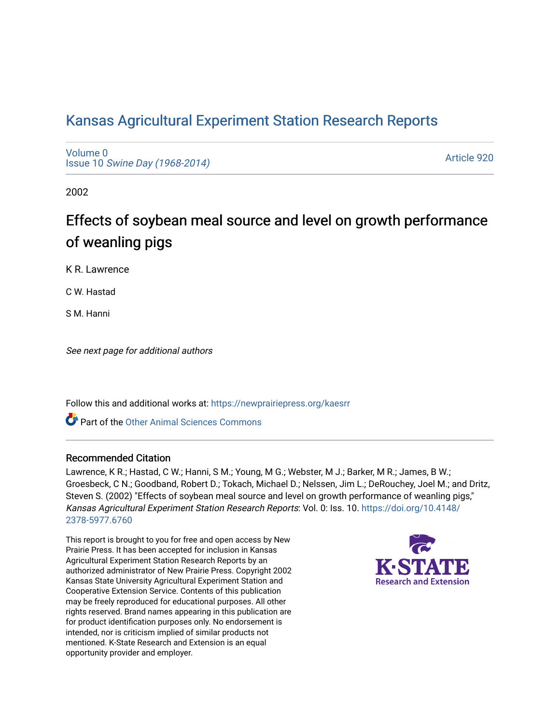# [Kansas Agricultural Experiment Station Research Reports](https://newprairiepress.org/kaesrr)

[Volume 0](https://newprairiepress.org/kaesrr/vol0) Issue 10 [Swine Day \(1968-2014\)](https://newprairiepress.org/kaesrr/vol0/iss10)

[Article 920](https://newprairiepress.org/kaesrr/vol0/iss10/920) 

2002

# Effects of soybean meal source and level on growth performance of weanling pigs

K R. Lawrence

C W. Hastad

S M. Hanni

See next page for additional authors

Follow this and additional works at: [https://newprairiepress.org/kaesrr](https://newprairiepress.org/kaesrr?utm_source=newprairiepress.org%2Fkaesrr%2Fvol0%2Fiss10%2F920&utm_medium=PDF&utm_campaign=PDFCoverPages) 

Part of the [Other Animal Sciences Commons](http://network.bepress.com/hgg/discipline/82?utm_source=newprairiepress.org%2Fkaesrr%2Fvol0%2Fiss10%2F920&utm_medium=PDF&utm_campaign=PDFCoverPages)

#### Recommended Citation

Lawrence, K R.; Hastad, C W.; Hanni, S M.; Young, M G.; Webster, M J.; Barker, M R.; James, B W.; Groesbeck, C N.; Goodband, Robert D.; Tokach, Michael D.; Nelssen, Jim L.; DeRouchey, Joel M.; and Dritz, Steven S. (2002) "Effects of soybean meal source and level on growth performance of weanling pigs," Kansas Agricultural Experiment Station Research Reports: Vol. 0: Iss. 10. [https://doi.org/10.4148/](https://doi.org/10.4148/2378-5977.6760) [2378-5977.6760](https://doi.org/10.4148/2378-5977.6760) 

This report is brought to you for free and open access by New Prairie Press. It has been accepted for inclusion in Kansas Agricultural Experiment Station Research Reports by an authorized administrator of New Prairie Press. Copyright 2002 Kansas State University Agricultural Experiment Station and Cooperative Extension Service. Contents of this publication may be freely reproduced for educational purposes. All other rights reserved. Brand names appearing in this publication are for product identification purposes only. No endorsement is intended, nor is criticism implied of similar products not mentioned. K-State Research and Extension is an equal opportunity provider and employer.

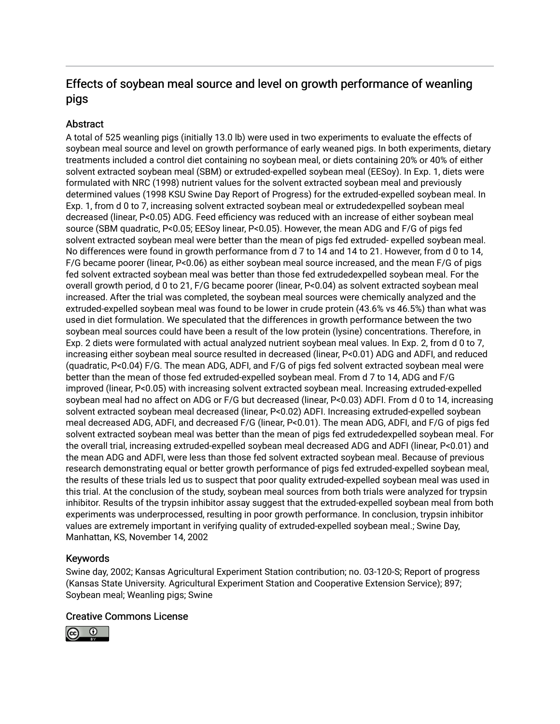# Effects of soybean meal source and level on growth performance of weanling pigs

## Abstract

A total of 525 weanling pigs (initially 13.0 lb) were used in two experiments to evaluate the effects of soybean meal source and level on growth performance of early weaned pigs. In both experiments, dietary treatments included a control diet containing no soybean meal, or diets containing 20% or 40% of either solvent extracted soybean meal (SBM) or extruded-expelled soybean meal (EESoy). In Exp. 1, diets were formulated with NRC (1998) nutrient values for the solvent extracted soybean meal and previously determined values (1998 KSU Swine Day Report of Progress) for the extruded-expelled soybean meal. In Exp. 1, from d 0 to 7, increasing solvent extracted soybean meal or extrudedexpelled soybean meal decreased (linear, P<0.05) ADG. Feed efficiency was reduced with an increase of either soybean meal source (SBM quadratic, P<0.05; EESoy linear, P<0.05). However, the mean ADG and F/G of pigs fed solvent extracted soybean meal were better than the mean of pigs fed extruded- expelled soybean meal. No differences were found in growth performance from d 7 to 14 and 14 to 21. However, from d 0 to 14, F/G became poorer (linear, P<0.06) as either soybean meal source increased, and the mean F/G of pigs fed solvent extracted soybean meal was better than those fed extrudedexpelled soybean meal. For the overall growth period, d 0 to 21, F/G became poorer (linear, P<0.04) as solvent extracted soybean meal increased. After the trial was completed, the soybean meal sources were chemically analyzed and the extruded-expelled soybean meal was found to be lower in crude protein (43.6% vs 46.5%) than what was used in diet formulation. We speculated that the differences in growth performance between the two soybean meal sources could have been a result of the low protein (lysine) concentrations. Therefore, in Exp. 2 diets were formulated with actual analyzed nutrient soybean meal values. In Exp. 2, from d 0 to 7, increasing either soybean meal source resulted in decreased (linear, P<0.01) ADG and ADFI, and reduced (quadratic, P<0.04) F/G. The mean ADG, ADFI, and F/G of pigs fed solvent extracted soybean meal were better than the mean of those fed extruded-expelled soybean meal. From d 7 to 14, ADG and F/G improved (linear, P<0.05) with increasing solvent extracted soybean meal. Increasing extruded-expelled soybean meal had no affect on ADG or F/G but decreased (linear, P<0.03) ADFI. From d 0 to 14, increasing solvent extracted soybean meal decreased (linear, P<0.02) ADFI. Increasing extruded-expelled soybean meal decreased ADG, ADFI, and decreased F/G (linear, P<0.01). The mean ADG, ADFI, and F/G of pigs fed solvent extracted soybean meal was better than the mean of pigs fed extrudedexpelled soybean meal. For the overall trial, increasing extruded-expelled soybean meal decreased ADG and ADFI (linear, P<0.01) and the mean ADG and ADFI, were less than those fed solvent extracted soybean meal. Because of previous research demonstrating equal or better growth performance of pigs fed extruded-expelled soybean meal, the results of these trials led us to suspect that poor quality extruded-expelled soybean meal was used in this trial. At the conclusion of the study, soybean meal sources from both trials were analyzed for trypsin inhibitor. Results of the trypsin inhibitor assay suggest that the extruded-expelled soybean meal from both experiments was underprocessed, resulting in poor growth performance. In conclusion, trypsin inhibitor values are extremely important in verifying quality of extruded-expelled soybean meal.; Swine Day, Manhattan, KS, November 14, 2002

## Keywords

Swine day, 2002; Kansas Agricultural Experiment Station contribution; no. 03-120-S; Report of progress (Kansas State University. Agricultural Experiment Station and Cooperative Extension Service); 897; Soybean meal; Weanling pigs; Swine

#### Creative Commons License

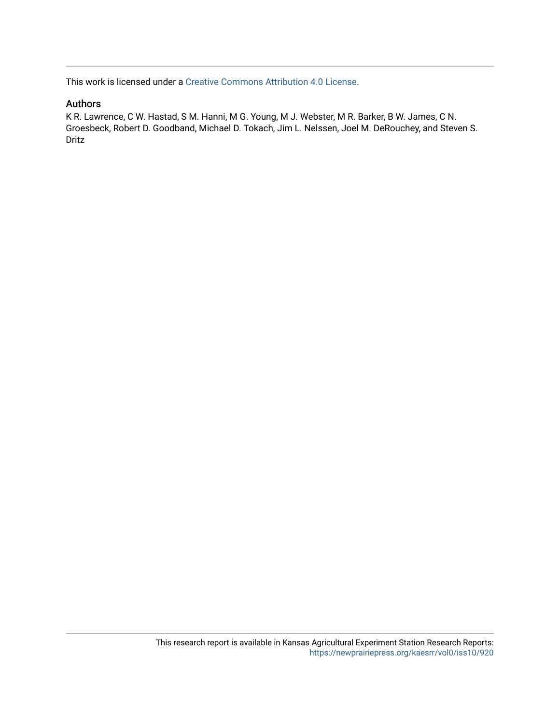This work is licensed under a [Creative Commons Attribution 4.0 License](https://creativecommons.org/licenses/by/4.0/).

## Authors

K R. Lawrence, C W. Hastad, S M. Hanni, M G. Young, M J. Webster, M R. Barker, B W. James, C N. Groesbeck, Robert D. Goodband, Michael D. Tokach, Jim L. Nelssen, Joel M. DeRouchey, and Steven S. Dritz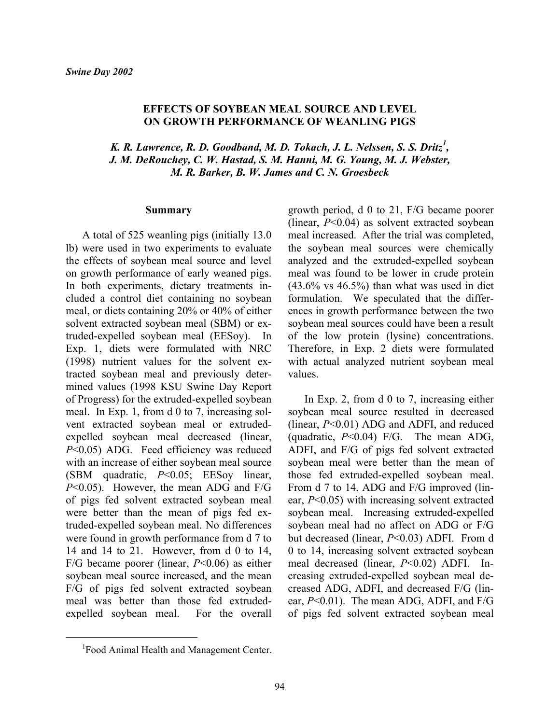#### **EFFECTS OF SOYBEAN MEAL SOURCE AND LEVEL ON GROWTH PERFORMANCE OF WEANLING PIGS**

*K. R. Lawrence, R. D. Goodband, M. D. Tokach, J. L. Nelssen, S. S. Dritz<sup>1</sup> , J. M. DeRouchey, C. W. Hastad, S. M. Hanni, M. G. Young, M. J. Webster, M. R. Barker, B. W. James and C. N. Groesbeck* 

#### **Summary**

A total of 525 weanling pigs (initially 13.0 lb) were used in two experiments to evaluate the effects of soybean meal source and level on growth performance of early weaned pigs. In both experiments, dietary treatments included a control diet containing no soybean meal, or diets containing 20% or 40% of either solvent extracted soybean meal (SBM) or extruded-expelled soybean meal (EESoy). In Exp. 1, diets were formulated with NRC (1998) nutrient values for the solvent extracted soybean meal and previously determined values (1998 KSU Swine Day Report of Progress) for the extruded-expelled soybean meal. In Exp. 1, from d 0 to 7, increasing solvent extracted soybean meal or extrudedexpelled soybean meal decreased (linear, *P*<0.05) ADG. Feed efficiency was reduced with an increase of either soybean meal source (SBM quadratic, *P*<0.05; EESoy linear, *P*<0.05). However, the mean ADG and F/G of pigs fed solvent extracted soybean meal were better than the mean of pigs fed extruded-expelled soybean meal. No differences were found in growth performance from d 7 to 14 and 14 to 21. However, from d 0 to 14, F/G became poorer (linear, *P*<0.06) as either soybean meal source increased, and the mean F/G of pigs fed solvent extracted soybean meal was better than those fed extrudedexpelled soybean meal. For the overall

growth period, d 0 to 21, F/G became poorer (linear, *P*<0.04) as solvent extracted soybean meal increased. After the trial was completed, the soybean meal sources were chemically analyzed and the extruded-expelled soybean meal was found to be lower in crude protein  $(43.6\% \text{ vs } 46.5\%)$  than what was used in diet formulation. We speculated that the differences in growth performance between the two soybean meal sources could have been a result of the low protein (lysine) concentrations. Therefore, in Exp. 2 diets were formulated with actual analyzed nutrient soybean meal values.

In Exp. 2, from d 0 to 7, increasing either soybean meal source resulted in decreased (linear, *P*<0.01) ADG and ADFI, and reduced (quadratic, *P*<0.04) F/G. The mean ADG, ADFI, and F/G of pigs fed solvent extracted soybean meal were better than the mean of those fed extruded-expelled soybean meal. From d 7 to 14, ADG and F/G improved (linear, *P*<0.05) with increasing solvent extracted soybean meal. Increasing extruded-expelled soybean meal had no affect on ADG or F/G but decreased (linear, *P*<0.03) ADFI. From d 0 to 14, increasing solvent extracted soybean meal decreased (linear, *P*<0.02) ADFI. Increasing extruded-expelled soybean meal decreased ADG, ADFI, and decreased F/G (linear, *P*<0.01). The mean ADG, ADFI, and F/G of pigs fed solvent extracted soybean meal

 $\overline{a}$ 

<sup>&</sup>lt;sup>1</sup>Food Animal Health and Management Center.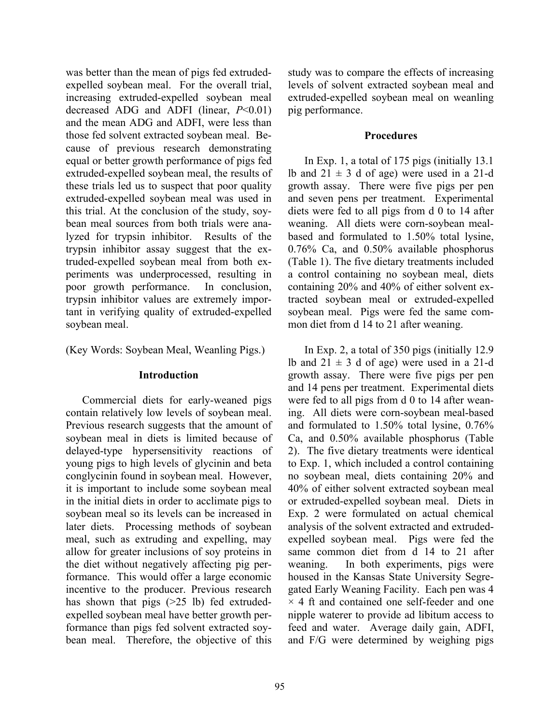was better than the mean of pigs fed extrudedexpelled soybean meal. For the overall trial, increasing extruded-expelled soybean meal decreased ADG and ADFI (linear, *P*<0.01) and the mean ADG and ADFI, were less than those fed solvent extracted soybean meal. Because of previous research demonstrating equal or better growth performance of pigs fed extruded-expelled soybean meal, the results of these trials led us to suspect that poor quality extruded-expelled soybean meal was used in this trial. At the conclusion of the study, soybean meal sources from both trials were analyzed for trypsin inhibitor. Results of the trypsin inhibitor assay suggest that the extruded-expelled soybean meal from both experiments was underprocessed, resulting in poor growth performance. In conclusion, trypsin inhibitor values are extremely important in verifying quality of extruded-expelled soybean meal.

(Key Words: Soybean Meal, Weanling Pigs.)

#### **Introduction**

Commercial diets for early-weaned pigs contain relatively low levels of soybean meal. Previous research suggests that the amount of soybean meal in diets is limited because of delayed-type hypersensitivity reactions of young pigs to high levels of glycinin and beta conglycinin found in soybean meal. However, it is important to include some soybean meal in the initial diets in order to acclimate pigs to soybean meal so its levels can be increased in later diets. Processing methods of soybean meal, such as extruding and expelling, may allow for greater inclusions of soy proteins in the diet without negatively affecting pig performance. This would offer a large economic incentive to the producer. Previous research has shown that pigs ( $>25$  lb) fed extrudedexpelled soybean meal have better growth performance than pigs fed solvent extracted soybean meal. Therefore, the objective of this

study was to compare the effects of increasing levels of solvent extracted soybean meal and extruded-expelled soybean meal on weanling pig performance.

## **Procedures**

In Exp. 1, a total of 175 pigs (initially 13.1 lb and  $21 \pm 3$  d of age) were used in a 21-d growth assay. There were five pigs per pen and seven pens per treatment. Experimental diets were fed to all pigs from d 0 to 14 after weaning. All diets were corn-soybean mealbased and formulated to 1.50% total lysine, 0.76% Ca, and 0.50% available phosphorus (Table 1). The five dietary treatments included a control containing no soybean meal, diets containing 20% and 40% of either solvent extracted soybean meal or extruded-expelled soybean meal. Pigs were fed the same common diet from d 14 to 21 after weaning.

In Exp. 2, a total of 350 pigs (initially 12.9 lb and  $21 \pm 3$  d of age) were used in a 21-d growth assay. There were five pigs per pen and 14 pens per treatment. Experimental diets were fed to all pigs from d 0 to 14 after weaning. All diets were corn-soybean meal-based and formulated to 1.50% total lysine, 0.76% Ca, and 0.50% available phosphorus (Table 2). The five dietary treatments were identical to Exp. 1, which included a control containing no soybean meal, diets containing 20% and 40% of either solvent extracted soybean meal or extruded-expelled soybean meal. Diets in Exp. 2 were formulated on actual chemical analysis of the solvent extracted and extrudedexpelled soybean meal. Pigs were fed the same common diet from d 14 to 21 after weaning. In both experiments, pigs were housed in the Kansas State University Segregated Early Weaning Facility. Each pen was 4  $\times$  4 ft and contained one self-feeder and one nipple waterer to provide ad libitum access to feed and water. Average daily gain, ADFI, and F/G were determined by weighing pigs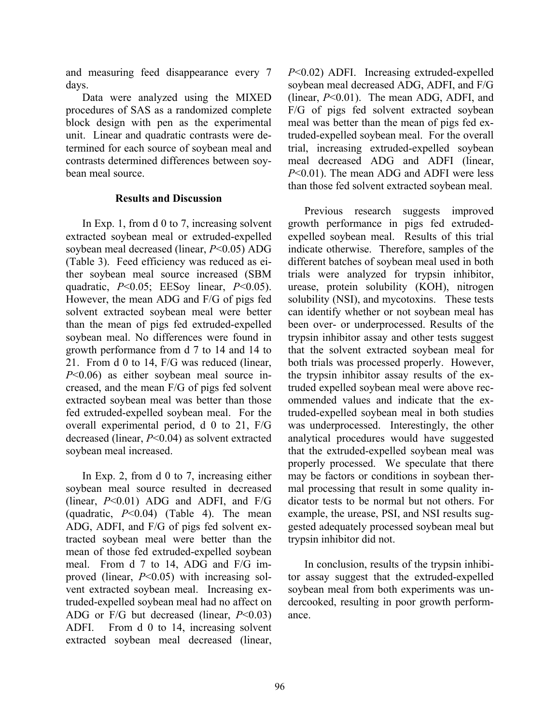and measuring feed disappearance every 7 days.

Data were analyzed using the MIXED procedures of SAS as a randomized complete block design with pen as the experimental unit. Linear and quadratic contrasts were determined for each source of soybean meal and contrasts determined differences between soybean meal source.

#### **Results and Discussion**

In Exp. 1, from d 0 to 7, increasing solvent extracted soybean meal or extruded-expelled soybean meal decreased (linear, *P*<0.05) ADG (Table 3). Feed efficiency was reduced as either soybean meal source increased (SBM quadratic, *P*<0.05; EESoy linear, *P*<0.05). However, the mean ADG and F/G of pigs fed solvent extracted soybean meal were better than the mean of pigs fed extruded-expelled soybean meal. No differences were found in growth performance from d 7 to 14 and 14 to 21. From d 0 to 14, F/G was reduced (linear, *P*<0.06) as either soybean meal source increased, and the mean F/G of pigs fed solvent extracted soybean meal was better than those fed extruded-expelled soybean meal. For the overall experimental period, d 0 to 21, F/G decreased (linear, *P*<0.04) as solvent extracted soybean meal increased.

In Exp. 2, from d 0 to 7, increasing either soybean meal source resulted in decreased (linear, *P*<0.01) ADG and ADFI, and F/G (quadratic, *P*<0.04) (Table 4). The mean ADG, ADFI, and F/G of pigs fed solvent extracted soybean meal were better than the mean of those fed extruded-expelled soybean meal. From d 7 to 14, ADG and F/G improved (linear, *P*<0.05) with increasing solvent extracted soybean meal. Increasing extruded-expelled soybean meal had no affect on ADG or F/G but decreased (linear, *P*<0.03) ADFI. From d 0 to 14, increasing solvent extracted soybean meal decreased (linear,

*P*<0.02) ADFI. Increasing extruded-expelled soybean meal decreased ADG, ADFI, and F/G (linear, *P*<0.01). The mean ADG, ADFI, and F/G of pigs fed solvent extracted soybean meal was better than the mean of pigs fed extruded-expelled soybean meal. For the overall trial, increasing extruded-expelled soybean meal decreased ADG and ADFI (linear, *P*<0.01). The mean ADG and ADFI were less than those fed solvent extracted soybean meal.

Previous research suggests improved growth performance in pigs fed extrudedexpelled soybean meal. Results of this trial indicate otherwise. Therefore, samples of the different batches of soybean meal used in both trials were analyzed for trypsin inhibitor, urease, protein solubility (KOH), nitrogen solubility (NSI), and mycotoxins. These tests can identify whether or not soybean meal has been over- or underprocessed. Results of the trypsin inhibitor assay and other tests suggest that the solvent extracted soybean meal for both trials was processed properly. However, the trypsin inhibitor assay results of the extruded expelled soybean meal were above recommended values and indicate that the extruded-expelled soybean meal in both studies was underprocessed. Interestingly, the other analytical procedures would have suggested that the extruded-expelled soybean meal was properly processed. We speculate that there may be factors or conditions in soybean thermal processing that result in some quality indicator tests to be normal but not others. For example, the urease, PSI, and NSI results suggested adequately processed soybean meal but trypsin inhibitor did not.

In conclusion, results of the trypsin inhibitor assay suggest that the extruded-expelled soybean meal from both experiments was undercooked, resulting in poor growth performance.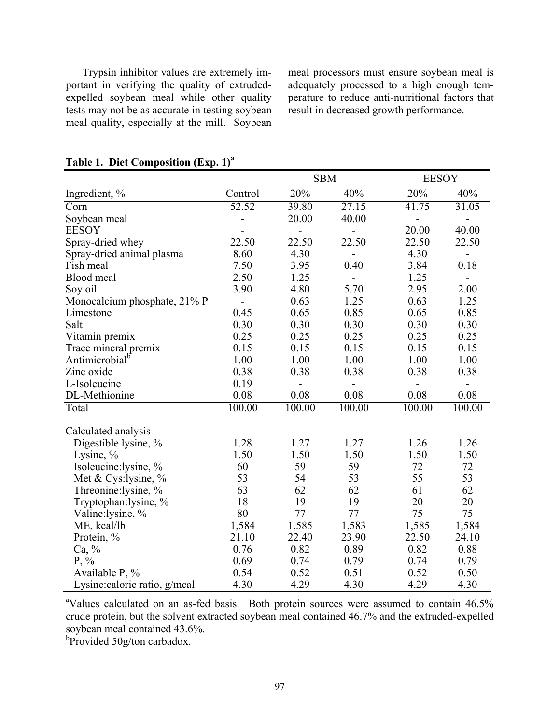Trypsin inhibitor values are extremely important in verifying the quality of extrudedexpelled soybean meal while other quality tests may not be as accurate in testing soybean meal quality, especially at the mill. Soybean

meal processors must ensure soybean meal is adequately processed to a high enough temperature to reduce anti-nutritional factors that result in decreased growth performance.

|                               | <b>SBM</b>               |               |                          | <b>EESOY</b>             |                              |  |
|-------------------------------|--------------------------|---------------|--------------------------|--------------------------|------------------------------|--|
| Ingredient, %                 | Control                  | 20%           | 40%                      | 20%                      | 40%                          |  |
| Corn                          | 52.52                    | 39.80         | 27.15                    | 41.75                    | 31.05                        |  |
| Soybean meal                  |                          | 20.00         | 40.00                    | $\overline{\phantom{0}}$ | $\qquad \qquad \blacksquare$ |  |
| <b>EESOY</b>                  |                          |               | $\overline{a}$           | 20.00                    | 40.00                        |  |
| Spray-dried whey              | 22.50                    | 22.50         | 22.50                    | 22.50                    | 22.50                        |  |
| Spray-dried animal plasma     | 8.60                     | 4.30          | $\overline{\phantom{0}}$ | 4.30                     | $\qquad \qquad \blacksquare$ |  |
| Fish meal                     | 7.50                     | 3.95          | 0.40                     | 3.84                     | 0.18                         |  |
| Blood meal                    | 2.50                     | 1.25          | $\overline{a}$           | 1.25                     | $\overline{\phantom{0}}$     |  |
| Soy oil                       | 3.90                     | 4.80          | 5.70                     | 2.95                     | 2.00                         |  |
| Monocalcium phosphate, 21% P  | $\overline{\phantom{a}}$ | 0.63          | 1.25                     | 0.63                     | 1.25                         |  |
| Limestone                     | 0.45                     | 0.65          | 0.85                     | 0.65                     | 0.85                         |  |
| Salt                          | 0.30                     | 0.30          | 0.30                     | 0.30                     | 0.30                         |  |
| Vitamin premix                | 0.25                     | 0.25          | 0.25                     | 0.25                     | 0.25                         |  |
| Trace mineral premix          | 0.15                     | 0.15          | 0.15                     | 0.15                     | 0.15                         |  |
| Antimicrobial <sup>b</sup>    | 1.00                     | 1.00          | 1.00                     | 1.00                     | 1.00                         |  |
| Zinc oxide                    | 0.38                     | 0.38          | 0.38                     | 0.38                     | 0.38                         |  |
| L-Isoleucine                  | 0.19                     | $\frac{1}{2}$ | $\overline{\phantom{a}}$ | $\blacksquare$           | $\overline{\phantom{0}}$     |  |
| DL-Methionine                 | 0.08                     | 0.08          | 0.08                     | 0.08                     | 0.08                         |  |
| Total                         | 100.00                   | 100.00        | 100.00                   | 100.00                   | 100.00                       |  |
| Calculated analysis           |                          |               |                          |                          |                              |  |
| Digestible lysine, %          | 1.28                     | 1.27          | 1.27                     | 1.26                     | 1.26                         |  |
| Lysine, %                     | 1.50                     | 1.50          | 1.50                     | 1.50                     | 1.50                         |  |
| Isoleucine: lysine, %         | 60                       | 59            | 59                       | 72                       | 72                           |  |
| Met & Cys: lysine, $%$        | 53                       | 54            | 53                       | 55                       | 53                           |  |
| Threonine: lysine, %          | 63                       | 62            | 62                       | 61                       | 62                           |  |
| Tryptophan: lysine, %         | 18                       | 19            | 19                       | 20                       | 20                           |  |
| Valine:lysine, %              | 80                       | 77            | 77                       | 75                       | 75                           |  |
| ME, kcal/lb                   | 1,584                    | 1,585         | 1,583                    | 1,585                    | 1,584                        |  |
| Protein, %                    | 21.10                    | 22.40         | 23.90                    | 22.50                    | 24.10                        |  |
| Ca, %                         | 0.76                     | 0.82          | 0.89                     | 0.82                     | 0.88                         |  |
| $P, \%$                       | 0.69                     | 0.74          | 0.79                     | 0.74                     | 0.79                         |  |
| Available P, %                | 0.54                     | 0.52          | 0.51                     | 0.52                     | 0.50                         |  |
| Lysine: calorie ratio, g/mcal | 4.30                     | 4.29          | 4.30                     | 4.29                     | 4.30                         |  |

# **Table 1. Diet Composition (Exp. 1)<sup>a</sup>**

<sup>a</sup>Values calculated on an as-fed basis. Both protein sources were assumed to contain 46.5% crude protein, but the solvent extracted soybean meal contained 46.7% and the extruded-expelled soybean meal contained 43.6%.

b<sub>p</sub>rovided 50g/ton carbadox.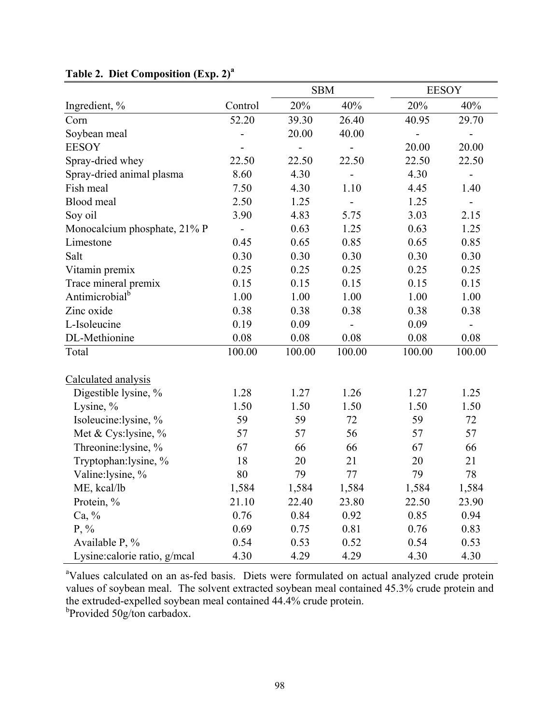|                              |                   |        | <b>SBM</b> |                              | <b>EESOY</b>      |  |  |
|------------------------------|-------------------|--------|------------|------------------------------|-------------------|--|--|
| Ingredient, %                | Control           | 20%    | 40%        | 20%                          | 40%               |  |  |
| Corn                         | 52.20             | 39.30  | 26.40      | 40.95                        | 29.70             |  |  |
| Soybean meal                 |                   | 20.00  | 40.00      | $\qquad \qquad \blacksquare$ | $\blacksquare$    |  |  |
| <b>EESOY</b>                 |                   |        |            | 20.00                        | 20.00             |  |  |
| Spray-dried whey             | 22.50             | 22.50  | 22.50      | 22.50                        | 22.50             |  |  |
| Spray-dried animal plasma    | 8.60              | 4.30   |            | 4.30                         | $\qquad \qquad -$ |  |  |
| Fish meal                    | 7.50              | 4.30   | 1.10       | 4.45                         | 1.40              |  |  |
| Blood meal                   | 2.50              | 1.25   |            | 1.25                         |                   |  |  |
| Soy oil                      | 3.90              | 4.83   | 5.75       | 3.03                         | 2.15              |  |  |
| Monocalcium phosphate, 21% P | $\qquad \qquad -$ | 0.63   | 1.25       | 0.63                         | 1.25              |  |  |
| Limestone                    | 0.45              | 0.65   | 0.85       | 0.65                         | 0.85              |  |  |
| Salt                         | 0.30              | 0.30   | 0.30       | 0.30                         | 0.30              |  |  |
| Vitamin premix               | 0.25              | 0.25   | 0.25       | 0.25                         | 0.25              |  |  |
| Trace mineral premix         | 0.15              | 0.15   | 0.15       | 0.15                         | 0.15              |  |  |
| Antimicrobial <sup>b</sup>   | 1.00              | 1.00   | 1.00       | 1.00                         | 1.00              |  |  |
| Zinc oxide                   | 0.38              | 0.38   | 0.38       | 0.38                         | 0.38              |  |  |
| L-Isoleucine                 | 0.19              | 0.09   |            | 0.09                         | $\overline{a}$    |  |  |
| DL-Methionine                | 0.08              | 0.08   | 0.08       | 0.08                         | 0.08              |  |  |
| Total                        | 100.00            | 100.00 | 100.00     | 100.00                       | 100.00            |  |  |
| Calculated analysis          |                   |        |            |                              |                   |  |  |
| Digestible lysine, %         | 1.28              | 1.27   | 1.26       | 1.27                         | 1.25              |  |  |
| Lysine, $\%$                 | 1.50              | 1.50   | 1.50       | 1.50                         | 1.50              |  |  |
| Isoleucine:lysine, %         | 59                | 59     | 72         | 59                           | 72                |  |  |
| Met & Cys:lysine, %          | 57                | 57     | 56         | 57                           | 57                |  |  |
| Threonine:lysine, %          | 67                | 66     | 66         | 67                           | 66                |  |  |
| Tryptophan:lysine, %         | 18                | 20     | 21         | 20                           | 21                |  |  |
| Valine:lysine, %             | 80                | 79     | 77         | 79                           | 78                |  |  |
| ME, kcal/lb                  | 1,584             | 1,584  | 1,584      | 1,584                        | 1,584             |  |  |
| Protein, %                   | 21.10             | 22.40  | 23.80      | 22.50                        | 23.90             |  |  |
| $Ca, \%$                     | 0.76              | 0.84   | 0.92       | 0.85                         | 0.94              |  |  |
| $P, \%$                      | 0.69              | 0.75   | 0.81       | 0.76                         | 0.83              |  |  |
| Available P, %               | 0.54              | 0.53   | 0.52       | 0.54                         | 0.53              |  |  |
| Lysine:calorie ratio, g/mcal | 4.30              | 4.29   | 4.29       | 4.30                         | 4.30              |  |  |

# **Table 2. Diet Composition (Exp. 2)<sup>a</sup>**

<sup>a</sup>Values calculated on an as-fed basis. Diets were formulated on actual analyzed crude protein values of soybean meal. The solvent extracted soybean meal contained 45.3% crude protein and the extruded-expelled soybean meal contained 44.4% crude protein. <sup>b</sup>Provided 50g/ton carbadox.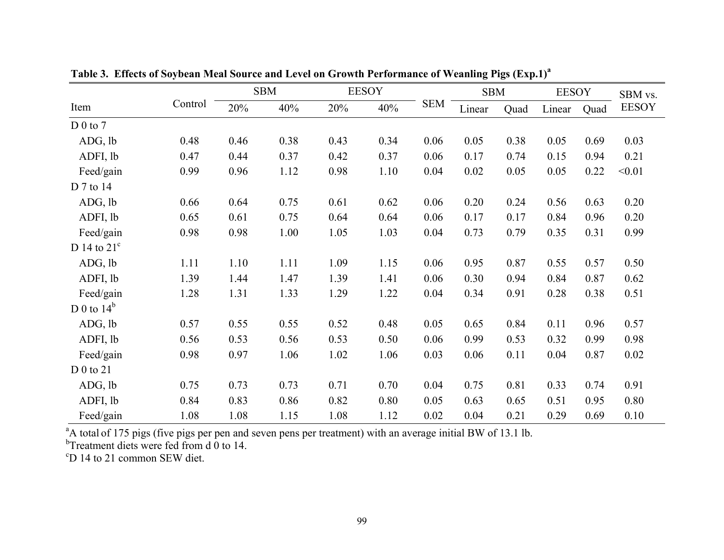|                      |         | <b>SBM</b> |      | <b>EESOY</b> |      |            | <b>SBM</b> |      | <b>EESOY</b> |      | SBM vs.      |
|----------------------|---------|------------|------|--------------|------|------------|------------|------|--------------|------|--------------|
| Item                 | Control | 20%        | 40%  | 20%          | 40%  | <b>SEM</b> | Linear     | Quad | Linear       | Quad | <b>EESOY</b> |
| D 0 to 7             |         |            |      |              |      |            |            |      |              |      |              |
| ADG, lb              | 0.48    | 0.46       | 0.38 | 0.43         | 0.34 | 0.06       | 0.05       | 0.38 | 0.05         | 0.69 | 0.03         |
| ADFI, lb             | 0.47    | 0.44       | 0.37 | 0.42         | 0.37 | 0.06       | 0.17       | 0.74 | 0.15         | 0.94 | 0.21         |
| Feed/gain            | 0.99    | 0.96       | 1.12 | 0.98         | 1.10 | 0.04       | 0.02       | 0.05 | 0.05         | 0.22 | < 0.01       |
| D 7 to 14            |         |            |      |              |      |            |            |      |              |      |              |
| ADG, lb              | 0.66    | 0.64       | 0.75 | 0.61         | 0.62 | 0.06       | 0.20       | 0.24 | 0.56         | 0.63 | 0.20         |
| ADFI, lb             | 0.65    | 0.61       | 0.75 | 0.64         | 0.64 | 0.06       | 0.17       | 0.17 | 0.84         | 0.96 | 0.20         |
| Feed/gain            | 0.98    | 0.98       | 1.00 | 1.05         | 1.03 | 0.04       | 0.73       | 0.79 | 0.35         | 0.31 | 0.99         |
| D 14 to $21^{\circ}$ |         |            |      |              |      |            |            |      |              |      |              |
| ADG, lb              | 1.11    | 1.10       | 1.11 | 1.09         | 1.15 | 0.06       | 0.95       | 0.87 | 0.55         | 0.57 | 0.50         |
| ADFI, lb             | 1.39    | 1.44       | 1.47 | 1.39         | 1.41 | 0.06       | 0.30       | 0.94 | 0.84         | 0.87 | 0.62         |
| Feed/gain            | 1.28    | 1.31       | 1.33 | 1.29         | 1.22 | 0.04       | 0.34       | 0.91 | 0.28         | 0.38 | 0.51         |
| D 0 to $14^b$        |         |            |      |              |      |            |            |      |              |      |              |
| ADG, lb              | 0.57    | 0.55       | 0.55 | 0.52         | 0.48 | 0.05       | 0.65       | 0.84 | 0.11         | 0.96 | 0.57         |
| ADFI, lb             | 0.56    | 0.53       | 0.56 | 0.53         | 0.50 | 0.06       | 0.99       | 0.53 | 0.32         | 0.99 | 0.98         |
| Feed/gain            | 0.98    | 0.97       | 1.06 | 1.02         | 1.06 | 0.03       | 0.06       | 0.11 | 0.04         | 0.87 | 0.02         |
| $D_0$ to 21          |         |            |      |              |      |            |            |      |              |      |              |
| ADG, lb              | 0.75    | 0.73       | 0.73 | 0.71         | 0.70 | 0.04       | 0.75       | 0.81 | 0.33         | 0.74 | 0.91         |
| ADFI, lb             | 0.84    | 0.83       | 0.86 | 0.82         | 0.80 | 0.05       | 0.63       | 0.65 | 0.51         | 0.95 | 0.80         |
| Feed/gain            | 1.08    | 1.08       | 1.15 | 1.08         | 1.12 | 0.02       | 0.04       | 0.21 | 0.29         | 0.69 | 0.10         |

**Table 3. Effects of Soybean Meal Source and Level on Growth Performance of Weanling Pigs (Exp.1)<sup>a</sup>**

<sup>a</sup>A total of 175 pigs (five pigs per pen and seven pens per treatment) with an average initial BW of 13.1 lb.

 $b$ Treatment diets were fed from d 0 to 14.

<sup>c</sup>D 14 to 21 common SEW diet.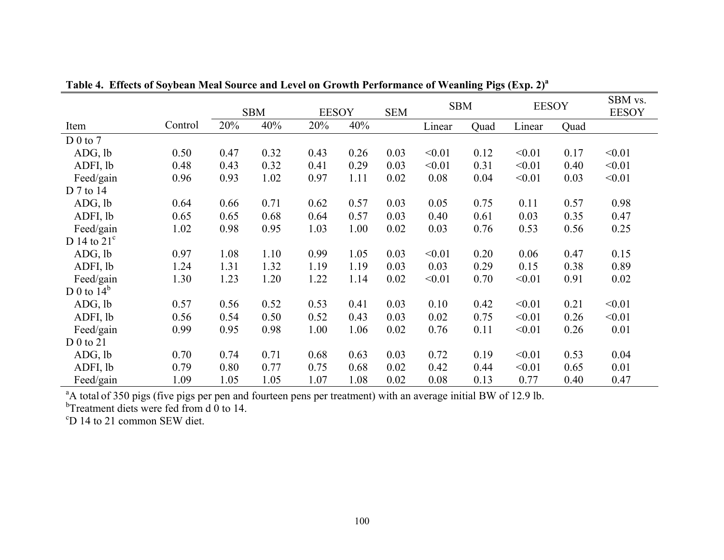|                      |         |      | <b>SBM</b> | <b>EESOY</b><br><b>SEM</b> |      | <b>SBM</b> |        | <b>EESOY</b> |        | SBM vs.<br><b>EESOY</b> |        |
|----------------------|---------|------|------------|----------------------------|------|------------|--------|--------------|--------|-------------------------|--------|
| Item                 | Control | 20%  | 40%        | 20%                        | 40%  |            | Linear | Quad         | Linear | Quad                    |        |
| D 0 to 7             |         |      |            |                            |      |            |        |              |        |                         |        |
| ADG, lb              | 0.50    | 0.47 | 0.32       | 0.43                       | 0.26 | 0.03       | < 0.01 | 0.12         | < 0.01 | 0.17                    | < 0.01 |
| ADFI, lb             | 0.48    | 0.43 | 0.32       | 0.41                       | 0.29 | 0.03       | < 0.01 | 0.31         | < 0.01 | 0.40                    | < 0.01 |
| Feed/gain            | 0.96    | 0.93 | 1.02       | 0.97                       | 1.11 | 0.02       | 0.08   | 0.04         | < 0.01 | 0.03                    | < 0.01 |
| D 7 to 14            |         |      |            |                            |      |            |        |              |        |                         |        |
| ADG, lb              | 0.64    | 0.66 | 0.71       | 0.62                       | 0.57 | 0.03       | 0.05   | 0.75         | 0.11   | 0.57                    | 0.98   |
| ADFI, lb             | 0.65    | 0.65 | 0.68       | 0.64                       | 0.57 | 0.03       | 0.40   | 0.61         | 0.03   | 0.35                    | 0.47   |
| Feed/gain            | 1.02    | 0.98 | 0.95       | 1.03                       | 1.00 | 0.02       | 0.03   | 0.76         | 0.53   | 0.56                    | 0.25   |
| D 14 to $21^{\circ}$ |         |      |            |                            |      |            |        |              |        |                         |        |
| ADG, lb              | 0.97    | 1.08 | 1.10       | 0.99                       | 1.05 | 0.03       | < 0.01 | 0.20         | 0.06   | 0.47                    | 0.15   |
| ADFI, lb             | 1.24    | 1.31 | 1.32       | 1.19                       | 1.19 | 0.03       | 0.03   | 0.29         | 0.15   | 0.38                    | 0.89   |
| Feed/gain            | 1.30    | 1.23 | 1.20       | 1.22                       | 1.14 | 0.02       | < 0.01 | 0.70         | < 0.01 | 0.91                    | 0.02   |
| D 0 to $14^b$        |         |      |            |                            |      |            |        |              |        |                         |        |
| ADG, lb              | 0.57    | 0.56 | 0.52       | 0.53                       | 0.41 | 0.03       | 0.10   | 0.42         | < 0.01 | 0.21                    | < 0.01 |
| ADFI, lb             | 0.56    | 0.54 | 0.50       | 0.52                       | 0.43 | 0.03       | 0.02   | 0.75         | < 0.01 | 0.26                    | < 0.01 |
| Feed/gain            | 0.99    | 0.95 | 0.98       | 1.00                       | 1.06 | 0.02       | 0.76   | 0.11         | < 0.01 | 0.26                    | 0.01   |
| $D_0$ to 21          |         |      |            |                            |      |            |        |              |        |                         |        |
| ADG, lb              | 0.70    | 0.74 | 0.71       | 0.68                       | 0.63 | 0.03       | 0.72   | 0.19         | < 0.01 | 0.53                    | 0.04   |
| ADFI, lb             | 0.79    | 0.80 | 0.77       | 0.75                       | 0.68 | 0.02       | 0.42   | 0.44         | < 0.01 | 0.65                    | 0.01   |
| Feed/gain            | 1.09    | 1.05 | 1.05       | 1.07                       | 1.08 | 0.02       | 0.08   | 0.13         | 0.77   | 0.40                    | 0.47   |

**Table 4. Effects of Soybean Meal Source and Level on Growth Performance of Weanling Pigs (Exp. 2)<sup>a</sup>**

<sup>a</sup>A total of 350 pigs (five pigs per pen and fourteen pens per treatment) with an average initial BW of 12.9 lb.

 $b$ Treatment diets were fed from d 0 to 14.

<sup>c</sup>D 14 to 21 common SEW diet.